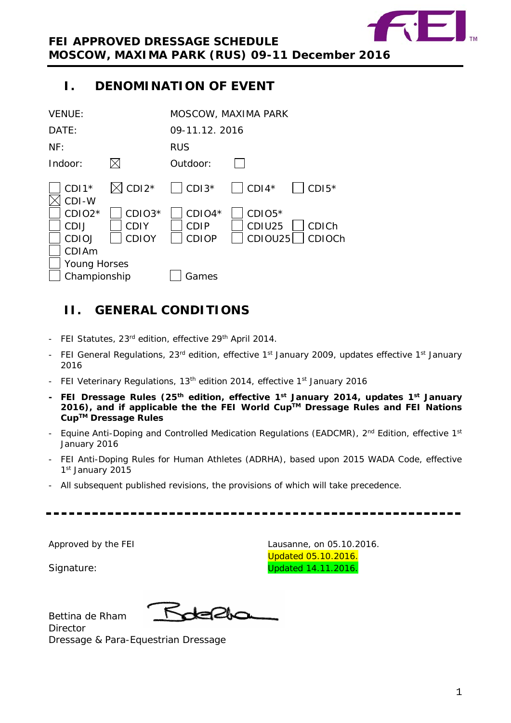

# <span id="page-0-0"></span>**I. DENOMINATION OF EVENT**

| <b>VENUE:</b>                                |                                       |                                         | MOSCOW, MAXIMA PARK           |                           |
|----------------------------------------------|---------------------------------------|-----------------------------------------|-------------------------------|---------------------------|
| DATE:                                        |                                       | 09-11.12.2016                           |                               |                           |
| NF:                                          |                                       | <b>RUS</b>                              |                               |                           |
| Indoor:                                      |                                       | Outdoor:                                |                               |                           |
| $CDI1*$<br>CDI-W                             | $\boxtimes$ CDI2*                     | $\vert$ CDI3 <sup>*</sup>               | $\vert$ CDI4*                 | $\vert$ CDI5 <sup>*</sup> |
| $CDIO2*$<br>CDIJ<br><b>CDIOJ</b>             | CDIO3*<br><b>CDIY</b><br><b>CDIOY</b> | $CDIO4*$<br><b>CDIP</b><br><b>CDIOP</b> | $CDIO5*$<br>CDIU25<br>CDIOU25 | <b>CDICh</b><br>CDIOCh    |
| CDIAm<br><b>Young Horses</b><br>Championship |                                       | Games                                   |                               |                           |

# <span id="page-0-1"></span>**II. GENERAL CONDITIONS**

- FEI Statutes, 23rd edition, effective 29<sup>th</sup> April 2014.
- FEI General Regulations, 23<sup>rd</sup> edition, effective 1<sup>st</sup> January 2009, updates effective 1<sup>st</sup> January 2016
- FEI Veterinary Regulations, 13<sup>th</sup> edition 2014, effective 1<sup>st</sup> January 2016
- **- FEI Dressage Rules (25th edition, effective 1st January 2014, updates 1st January 2016), and if applicable the the FEI World CupTM Dressage Rules and FEI Nations CupTM Dressage Rules**
- Equine Anti-Doping and Controlled Medication Regulations (EADCMR),  $2<sup>nd</sup>$  Edition, effective 1<sup>st</sup> January 2016
- FEI Anti-Doping Rules for Human Athletes (ADRHA), based upon 2015 WADA Code, effective 1st January 2015
- All subsequent published revisions, the provisions of which will take precedence.

Approved by the FEI Lausanne, on 05.10.2016.

Updated 05.10.2016. Signature: Contract Contract Contract Contract Contract Contract Contract Contract Contract Contract Contract Contract Contract Contract Contract Contract Contract Contract Contract Contract Contract Contract Contract Cont

Bettina de Rham **Director** 

Kdella

Dressage & Para-Equestrian Dressage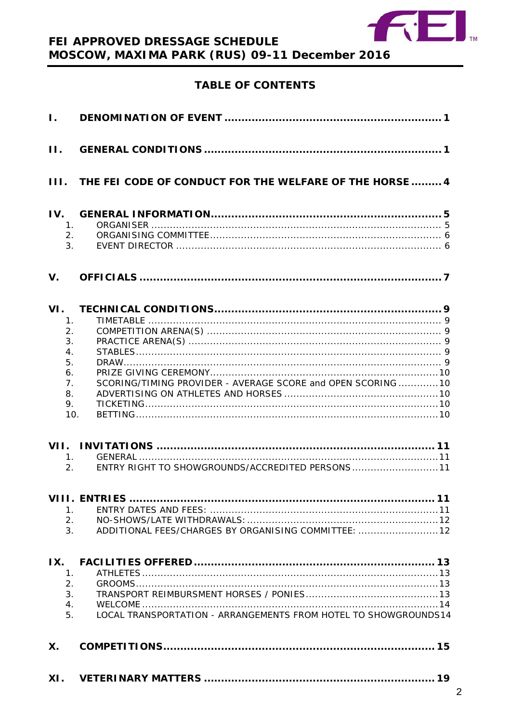

# FEI APPROVED DRESSAGE SCHEDULE MOSCOW, MAXIMA PARK (RUS) 09-11 December 2016

# **TABLE OF CONTENTS**

| $\mathbf{I}$ .                                                                 |                                                                 |
|--------------------------------------------------------------------------------|-----------------------------------------------------------------|
| $\Pi$ .                                                                        |                                                                 |
| 111.                                                                           | THE FEI CODE OF CONDUCT FOR THE WELFARE OF THE HORSE  4         |
| IV.<br>1.<br>2.<br>3.                                                          |                                                                 |
| $V_{\cdot}$                                                                    |                                                                 |
| VI.<br>1.<br>2.<br>3.<br>$\overline{4}$ .<br>5.<br>6.<br>7.<br>8.<br>9.<br>10. | SCORING/TIMING PROVIDER - AVERAGE SCORE and OPEN SCORING  10    |
| VII.<br>1.<br>$\overline{2}$ .                                                 | 11<br>ENTRY RIGHT TO SHOWGROUNDS/ACCREDITED PERSONS 11          |
| 1.<br>2.<br>3.                                                                 | ADDITIONAL FEES/CHARGES BY ORGANISING COMMITTEE: 12             |
| IX.<br>1.<br>2.<br>3.<br>4.<br>5.                                              | LOCAL TRANSPORTATION - ARRANGEMENTS FROM HOTEL TO SHOWGROUNDS14 |
| Χ.                                                                             |                                                                 |
| XI.                                                                            |                                                                 |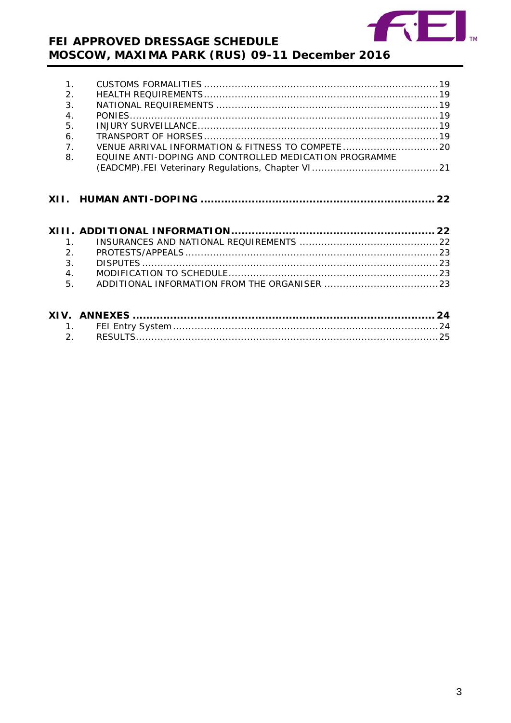

# FEI APPROVED DRESSAGE SCHEDULE MOSCOW, MAXIMA PARK (RUS) 09-11 December 2016

| 1 <sub>1</sub><br>2.<br>$\overline{3}$ .<br>$\overline{4}$ .<br>5.<br>6.<br>7.<br>8. | VENUE ARRIVAL INFORMATION & FITNESS TO COMPETE  20<br>EQUINE ANTI-DOPING AND CONTROLLED MEDICATION PROGRAMME |
|--------------------------------------------------------------------------------------|--------------------------------------------------------------------------------------------------------------|
|                                                                                      |                                                                                                              |
| 1 <sub>1</sub><br>2.<br>3.<br>4.<br>5.                                               |                                                                                                              |
| 1.                                                                                   |                                                                                                              |

| ∠ |  |
|---|--|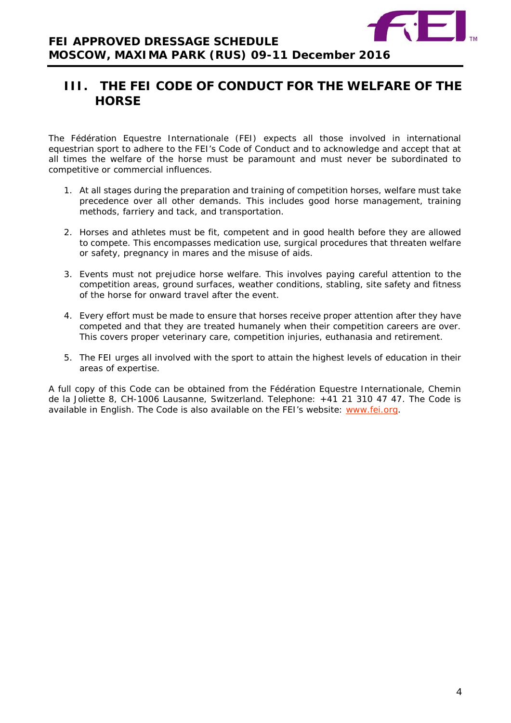

# <span id="page-3-0"></span>**III. THE FEI CODE OF CONDUCT FOR THE WELFARE OF THE HORSE**

The Fédération Equestre Internationale (FEI) expects all those involved in international equestrian sport to adhere to the FEI's Code of Conduct and to acknowledge and accept that at all times the welfare of the horse must be paramount and must never be subordinated to competitive or commercial influences.

- 1. At all stages during the preparation and training of competition horses, welfare must take precedence over all other demands. This includes good horse management, training methods, farriery and tack, and transportation.
- 2. Horses and athletes must be fit, competent and in good health before they are allowed to compete. This encompasses medication use, surgical procedures that threaten welfare or safety, pregnancy in mares and the misuse of aids.
- 3. Events must not prejudice horse welfare. This involves paying careful attention to the competition areas, ground surfaces, weather conditions, stabling, site safety and fitness of the horse for onward travel after the event.
- 4. Every effort must be made to ensure that horses receive proper attention after they have competed and that they are treated humanely when their competition careers are over. This covers proper veterinary care, competition injuries, euthanasia and retirement.
- <span id="page-3-1"></span>5. The FEI urges all involved with the sport to attain the highest levels of education in their areas of expertise.

A full copy of this Code can be obtained from the Fédération Equestre Internationale, Chemin de la Joliette 8, CH-1006 Lausanne, Switzerland. Telephone: +41 21 310 47 47. The Code is available in English. The Code is also available on the FEI's website: [www.fei.org.](http://www.fei.org/)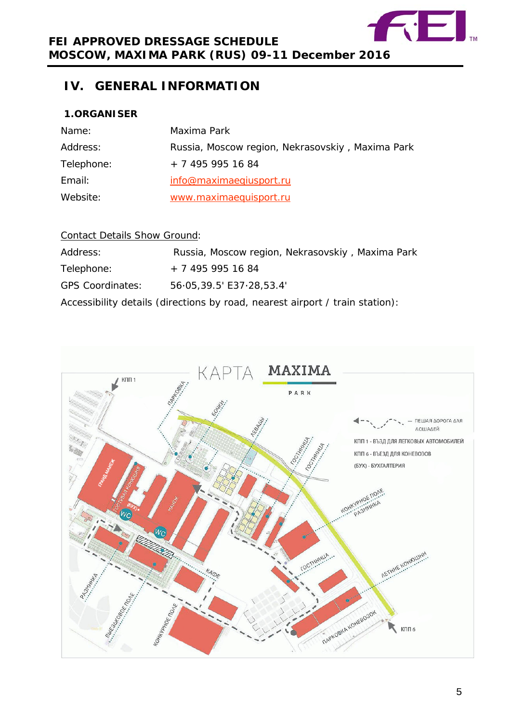

# **IV. GENERAL INFORMATION**

# <span id="page-4-0"></span>**1.ORGANISER**

| Name:      | Maxima Park                                      |
|------------|--------------------------------------------------|
| Address:   | Russia, Moscow region, Nekrasovskiy, Maxima Park |
| Telephone: | + 7 495 995 16 84                                |
| Email:     | info@maximaeqiusport.ru                          |
| Website:   | www.maximaequisport.ru                           |

# Contact Details Show Ground:

| Address:                | Russia, Moscow region, Nekrasovskiy, Maxima Park                             |
|-------------------------|------------------------------------------------------------------------------|
| Telephone:              | + 7 495 995 16 84                                                            |
| <b>GPS Coordinates:</b> | 56.05,39.5' E37.28,53.4'                                                     |
|                         | Accessibility details (directions by road, nearest airport / train station): |

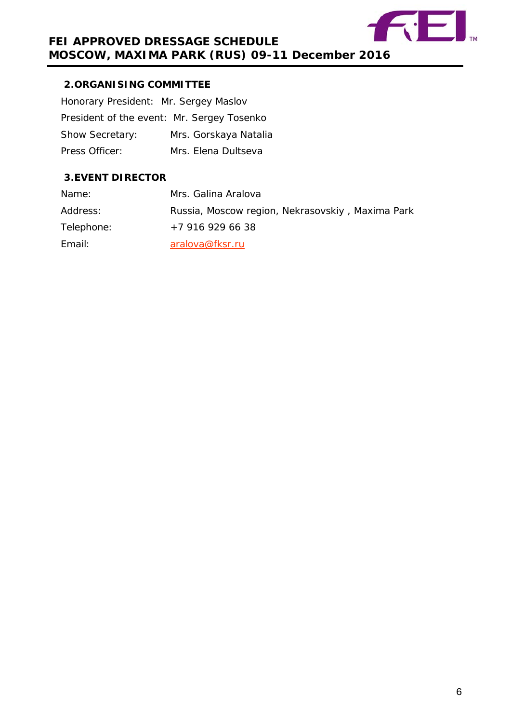

# <span id="page-5-0"></span>**2.ORGANISING COMMITTEE**

| Honorary President: Mr. Sergey Maslov      |                       |
|--------------------------------------------|-----------------------|
| President of the event: Mr. Sergey Tosenko |                       |
| <b>Show Secretary:</b>                     | Mrs. Gorskaya Natalia |
| Press Officer:                             | Mrs. Elena Dultseva   |

# <span id="page-5-1"></span>**3.EVENT DIRECTOR**

| Name:      | Mrs. Galina Aralova                              |
|------------|--------------------------------------------------|
| Address:   | Russia, Moscow region, Nekrasovskiy, Maxima Park |
| Telephone: | +7 916 929 66 38                                 |
| Email:     | aralova@fksr.ru                                  |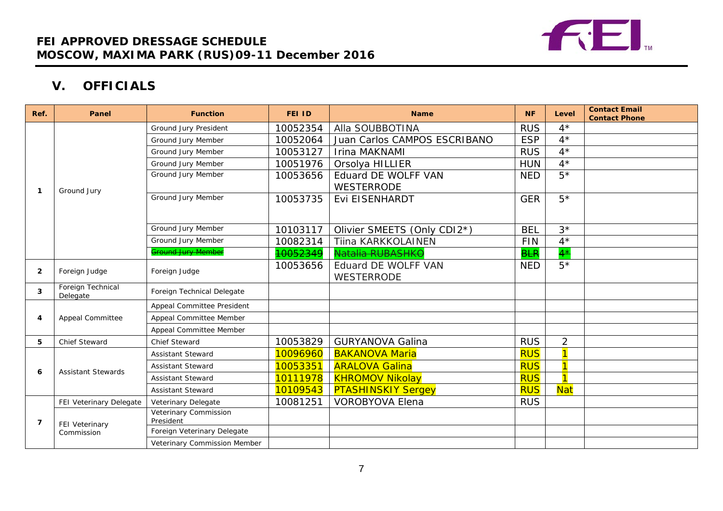

# **V. OFFICIALS**

<span id="page-6-0"></span>

| Ref.           | Panel                         | <b>Function</b>                    | <b>FEI ID</b> | <b>Name</b>                   | <b>NF</b>  | Level                   | <b>Contact Email</b><br><b>Contact Phone</b> |
|----------------|-------------------------------|------------------------------------|---------------|-------------------------------|------------|-------------------------|----------------------------------------------|
|                |                               | Ground Jury President              | 10052354      | Alla SOUBBOTINA               | <b>RUS</b> | $4^{\star}$             |                                              |
|                |                               | Ground Jury Member                 | 10052064      | Juan Carlos CAMPOS ESCRIBANO  | <b>ESP</b> | $4^*$                   |                                              |
|                |                               | Ground Jury Member                 | 10053127      | Irina MAKNAMI                 | <b>RUS</b> | $4^*$                   |                                              |
|                |                               | <b>Ground Jury Member</b>          | 10051976      | Orsolya HILLIER<br><b>HUN</b> |            | $4^{\star}$             |                                              |
|                |                               | Ground Jury Member                 | 10053656      | Eduard DE WOLFF VAN           | <b>NED</b> | $5*$                    |                                              |
| 1              | Ground Jury                   |                                    |               | <b>WESTERRODE</b>             |            |                         |                                              |
|                |                               | Ground Jury Member                 | 10053735      | Evi EISENHARDT                | <b>GER</b> | $5*$                    |                                              |
|                |                               |                                    |               |                               |            |                         |                                              |
|                |                               | Ground Jury Member                 | 10103117      | Olivier SMEETS (Only CDI2*)   | <b>BEL</b> | $3*$                    |                                              |
|                |                               | Ground Jury Member                 | 10082314      | Tiina KARKKOLAINEN            | <b>FIN</b> | $4^*$                   |                                              |
|                |                               | <b>Ground Jury Member</b>          | 10052349      | Natalia RUBASHKO              | <b>BLR</b> | $4^{\star}$             |                                              |
| $\overline{2}$ | Foreign Judge                 | Foreign Judge                      | 10053656      | Eduard DE WOLFF VAN           | <b>NED</b> | $5*$                    |                                              |
|                |                               |                                    |               | <b>WESTERRODE</b>             |            |                         |                                              |
| 3              | Foreign Technical<br>Delegate | Foreign Technical Delegate         |               |                               |            |                         |                                              |
|                | <b>Appeal Committee</b>       | Appeal Committee President         |               |                               |            |                         |                                              |
| 4              |                               | Appeal Committee Member            |               |                               |            |                         |                                              |
|                |                               | Appeal Committee Member            |               |                               |            |                         |                                              |
| 5              | <b>Chief Steward</b>          | <b>Chief Steward</b>               | 10053829      | <b>GURYANOVA Galina</b>       | <b>RUS</b> | $\overline{2}$          |                                              |
|                | <b>Assistant Stewards</b>     | <b>Assistant Steward</b>           | 10096960      | <b>BAKANOVA Maria</b>         | <b>RUS</b> | $\overline{1}$          |                                              |
| 6              |                               | <b>Assistant Steward</b>           | 10053351      | <b>ARALOVA Galina</b>         | <b>RUS</b> | $\overline{\mathbf{1}}$ |                                              |
|                |                               | <b>Assistant Steward</b>           | 10111978      | <b>KHROMOV Nikolay</b>        | <b>RUS</b> | $\overline{\mathbf{1}}$ |                                              |
|                |                               | <b>Assistant Steward</b>           | 10109543      | <b>PTASHINSKIY Sergey</b>     | <b>RUS</b> | <b>Nat</b>              |                                              |
|                | FEI Veterinary Delegate       | Veterinary Delegate                | 10081251      | <b>VOROBYOVA Elena</b>        | <b>RUS</b> |                         |                                              |
| 7              | FEI Veterinary                | Veterinary Commission<br>President |               |                               |            |                         |                                              |
|                | Commission                    | Foreign Veterinary Delegate        |               |                               |            |                         |                                              |
|                |                               | Veterinary Commission Member       |               |                               |            |                         |                                              |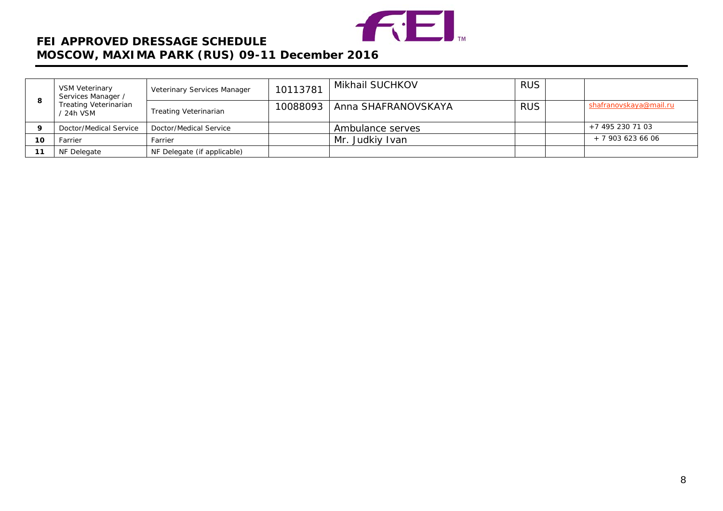

# **FEI APPROVED DRESSAGE SCHEDULE MOSCOW, MAXIMA PARK (RUS) 09-11 December 2016**

|    | VSM Veterinary<br>Services Manager /    | Veterinary Services Manager  | 10113781 | Mikhail SUCHKOV     | <b>RUS</b> |                        |
|----|-----------------------------------------|------------------------------|----------|---------------------|------------|------------------------|
|    | <b>Treating Veterinarian</b><br>24h VSM | <b>Treating Veterinarian</b> | 10088093 | Anna SHAFRANOVSKAYA | <b>RUS</b> | shafranovskaya@mail.ru |
|    | Doctor/Medical Service                  | Doctor/Medical Service       |          | Ambulance serves    |            | $+7$ 495 230 71 03     |
| 10 | Farrier                                 | Farrier                      |          | Mr. Judkiy Ivan     |            | $+79036236606$         |
|    | NF Delegate                             | NF Delegate (if applicable)  |          |                     |            |                        |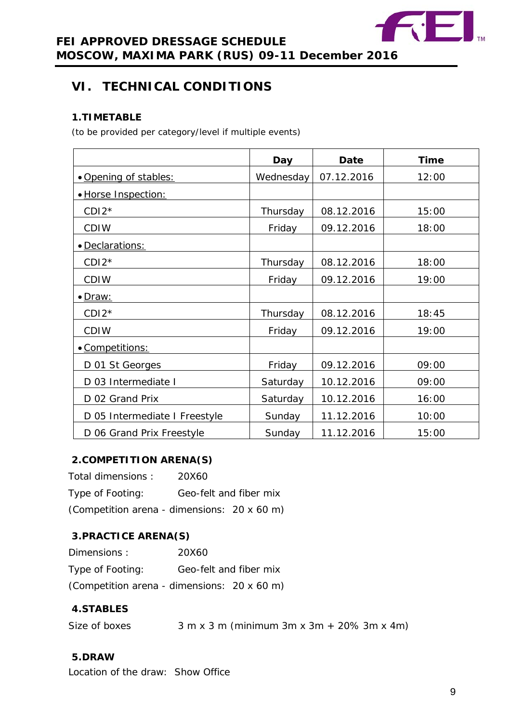

# <span id="page-8-0"></span>**VI. TECHNICAL CONDITIONS**

# <span id="page-8-1"></span>**1.TIMETABLE**

*(to be provided per category/level if multiple events)*

|                               | Day       | <b>Date</b> | <b>Time</b> |
|-------------------------------|-----------|-------------|-------------|
| • Opening of stables:         | Wednesday | 07.12.2016  | 12:00       |
| · Horse Inspection:           |           |             |             |
| $CDI2*$                       | Thursday  | 08.12.2016  | 15:00       |
| <b>CDIW</b>                   | Friday    | 09.12.2016  | 18:00       |
| · Declarations:               |           |             |             |
| $CDI2*$                       | Thursday  | 08.12.2016  | 18:00       |
| <b>CDIW</b>                   | Friday    | 09.12.2016  | 19:00       |
| <u>• Draw:</u>                |           |             |             |
| $CDI2*$                       | Thursday  | 08.12.2016  | 18:45       |
| <b>CDIW</b>                   | Friday    | 09.12.2016  | 19:00       |
| • Competitions:               |           |             |             |
| D 01 St Georges               | Friday    | 09.12.2016  | 09:00       |
| D 03 Intermediate I           | Saturday  | 10.12.2016  | 09:00       |
| D 02 Grand Prix               | Saturday  | 10.12.2016  | 16:00       |
| D 05 Intermediate I Freestyle | Sunday    | 11.12.2016  | 10:00       |
| D 06 Grand Prix Freestyle     | Sunday    | 11.12.2016  | 15:00       |

# <span id="page-8-2"></span>**2.COMPETITION ARENA(S)**

| Total dimensions:                           | 20X60                  |  |
|---------------------------------------------|------------------------|--|
| Type of Footing:                            | Geo-felt and fiber mix |  |
| (Competition arena - dimensions: 20 x 60 m) |                        |  |

# <span id="page-8-3"></span>**3.PRACTICE ARENA(S)**

| Dimensions:                                 | 20X60                  |  |
|---------------------------------------------|------------------------|--|
| Type of Footing:                            | Geo-felt and fiber mix |  |
| (Competition arena - dimensions: 20 x 60 m) |                        |  |

# <span id="page-8-4"></span>**4.STABLES**

| Size of boxes |  | $3 m x 3 m (minimum 3 m x 3 m + 20% 3 m x 4 m)$ |  |  |  |
|---------------|--|-------------------------------------------------|--|--|--|
|               |  |                                                 |  |  |  |

# <span id="page-8-5"></span>**5.DRAW**

Location of the draw: Show Office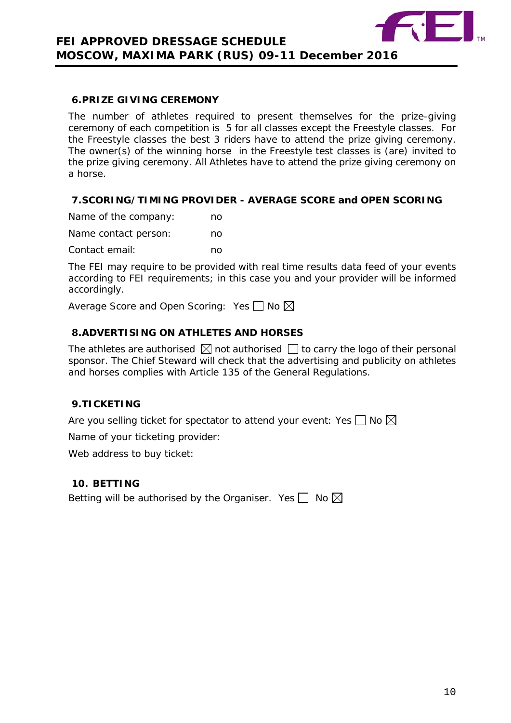

### <span id="page-9-0"></span>**6.PRIZE GIVING CEREMONY**

The number of athletes required to present themselves for the prize-giving ceremony of each competition is 5 for all classes except the Freestyle classes. For the Freestyle classes the best 3 riders have to attend the prize giving ceremony. The owner(s) of the winning horse in the Freestyle test classes is (are) invited to the prize giving ceremony. All Athletes have to attend the prize giving ceremony on a horse.

# <span id="page-9-1"></span>**7.SCORING/TIMING PROVIDER - AVERAGE SCORE and OPEN SCORING**

| Name of the company: | no |
|----------------------|----|
| Name contact person: | no |
| Contact email:       | no |

The FEI may require to be provided with real time results data feed of your events according to FEI requirements; in this case you and your provider will be informed accordingly.

Average Score and Open Scoring: Yes  $\Box$  No  $\boxtimes$ 

# <span id="page-9-2"></span>**8.ADVERTISING ON ATHLETES AND HORSES**

The athletes are authorised  $\boxtimes$  not authorised  $\Box$  to carry the logo of their personal sponsor. The Chief Steward will check that the advertising and publicity on athletes and horses complies with Article 135 of the General Regulations.

# <span id="page-9-3"></span>**9.TICKETING**

Are you selling ticket for spectator to attend your event: Yes  $\Box$  No  $\boxtimes$ 

Name of your ticketing provider:

Web address to buy ticket:

## <span id="page-9-4"></span>**10. BETTING**

Betting will be authorised by the Organiser. Yes  $\Box$  No  $\boxtimes$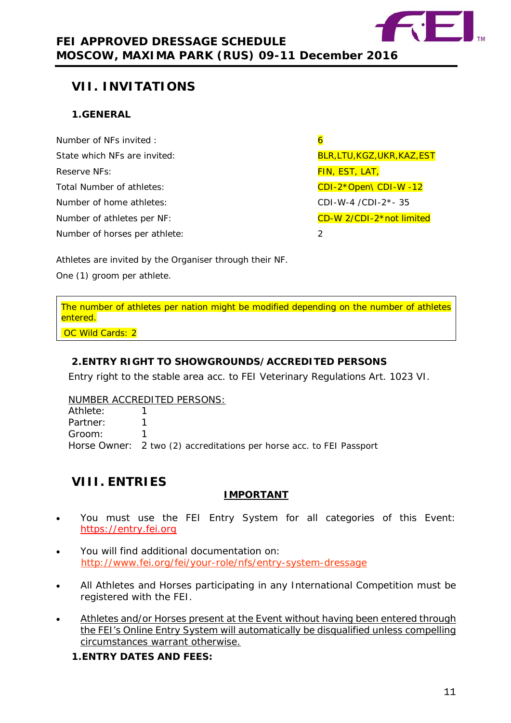

# <span id="page-10-0"></span>**VII. INVITATIONS**

# <span id="page-10-1"></span>**1.GENERAL**

| Number of NFs invited:        |   |
|-------------------------------|---|
| State which NFs are invited:  | B |
| Reserve NFs:                  | F |
| Total Number of athletes:     |   |
| Number of home athletes:      |   |
| Number of athletes per NF:    |   |
| Number of horses per athlete: | 2 |

BLR,LTU,KGZ,UKR,KAZ,EST FIN, EST, LAT, CDI-2\*Open\ CDI-W -12 CDI-W-4 /CDI-2\*- 35 CD-W 2/CDI-2\*not limited

Athletes are invited by the Organiser through their NF.

One (1) groom per athlete.

The number of athletes per nation might be modified depending on the number of athletes entered.

OC Wild Cards: 2

# <span id="page-10-2"></span>**2.ENTRY RIGHT TO SHOWGROUNDS/ACCREDITED PERSONS**

Entry right to the stable area acc. to FEI Veterinary Regulations Art. 1023 VI.

### NUMBER ACCREDITED PERSONS:

| Athlete: |                                                                      |
|----------|----------------------------------------------------------------------|
| Partner: |                                                                      |
| Groom:   |                                                                      |
|          | Horse Owner: 2 two (2) accreditations per horse acc. to FEI Passport |

# <span id="page-10-3"></span>**VIII. ENTRIES**

# **IMPORTANT**

- You must use the FEI Entry System for all categories of this Event: [https://entry.fei.org](https://entry.fei.org/)
- You will find additional documentation on: <http://www.fei.org/fei/your-role/nfs/entry-system-dressage>
- All Athletes and Horses participating in any International Competition must be registered with the FEI.
- Athletes and/or Horses present at the Event without having been entered through the FEI's Online Entry System will automatically be disqualified unless compelling circumstances warrant otherwise.

<span id="page-10-4"></span>**1.ENTRY DATES AND FEES:**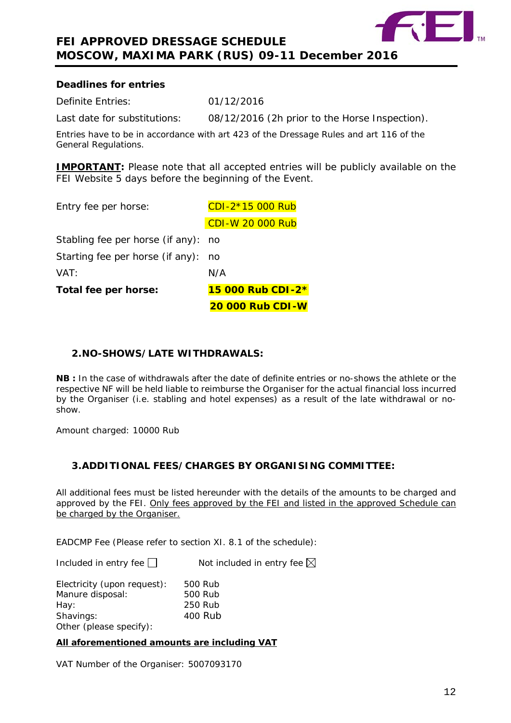

### **Deadlines for entries**

Definite Entries: 01/12/2016

Last date for substitutions: 08/12/2016 (2h prior to the Horse Inspection).

Entries have to be in accordance with art 423 of the Dressage Rules and art 116 of the General Regulations.

**IMPORTANT:** Please note that all accepted entries will be publicly available on the FEI Website 5 days before the beginning of the Event.

| Total fee per horse:                | 15 000 Rub CDI-2*       |
|-------------------------------------|-------------------------|
| VAT:                                | N/A                     |
| Starting fee per horse (if any):    | no.                     |
| Stabling fee per horse (if any): no |                         |
|                                     | <b>CDI-W 20 000 Rub</b> |
| Entry fee per horse:                | CDI-2*15 000 Rub        |

# <span id="page-11-0"></span>**2.NO-SHOWS/LATE WITHDRAWALS:**

**NB :** In the case of withdrawals after the date of definite entries or no-shows the athlete or the respective NF will be held liable to reimburse the Organiser for the actual financial loss incurred by the Organiser (i.e. stabling and hotel expenses) as a result of the late withdrawal or noshow.

Amount charged: 10000 Rub

# <span id="page-11-1"></span>**3.ADDITIONAL FEES/CHARGES BY ORGANISING COMMITTEE:**

All additional fees must be listed hereunder with the details of the amounts to be charged and approved by the FEI. Only fees approved by the FEI and listed in the approved Schedule can be charged by the Organiser.

EADCMP Fee (Please refer to section XI. 8.1 of the schedule):

Included in entry fee  $\Box$  Not included in entry fee  $\boxtimes$ 

| Electricity (upon request): | 500 Rub |
|-----------------------------|---------|
| Manure disposal:            | 500 Rub |
| Hay:                        | 250 Rub |
| Shavings:                   | 400 Rub |
| Other (please specify):     |         |

**All aforementioned amounts are including VAT**

VAT Number of the Organiser: 5007093170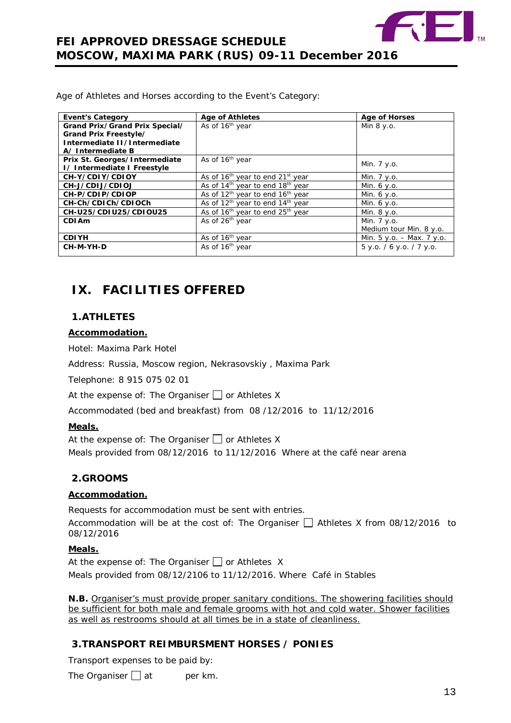

Age of Athletes and Horses according to the Event's Category:

| <b>Event's Category</b>        | <b>Age of Athletes</b>                                   | <b>Age of Horses</b>      |
|--------------------------------|----------------------------------------------------------|---------------------------|
| Grand Prix/Grand Prix Special/ | As of 16 <sup>th</sup> year                              | Min $8 y.o.$              |
| Grand Prix Freestyle/          |                                                          |                           |
| Intermediate II/Intermediate   |                                                          |                           |
| A/Intermediate B               |                                                          |                           |
| Prix St. Georges/Intermediate  | As of 16 <sup>th</sup> year                              | Min. 7 y.o.               |
| I/Intermediate I Freestyle     |                                                          |                           |
| CH-Y/CDIY/CDIOY                | As of 16 <sup>th</sup> year to end 21 <sup>st</sup> year | Min. 7 y.o.               |
| CH-J/CDIJ/CDIOJ                | As of 14 <sup>th</sup> year to end 18 <sup>th</sup> year | Min. 6 y.o.               |
| CH-P/CDIP/CDIOP                | As of $12th$ year to end $16th$ year                     | Min. $6 y.o.$             |
| CH-Ch/CDICh/CDIOCh             | As of 12 <sup>th</sup> year to end 14 <sup>th</sup> year | Min. 6 y.o.               |
| CH-U25/CDIU25/CDIOU25          | As of 16 <sup>th</sup> year to end 25 <sup>th</sup> year | Min. 8 y.o.               |
| CDI Am                         | As of 26 <sup>th</sup> year                              | Min. 7 y.o.               |
|                                |                                                          | Medium tour Min. 8 y.o.   |
| <b>CDIYH</b>                   | As of 16 <sup>th</sup> year                              | Min. 5 y.o. - Max. 7 y.o. |
| CH-M-YH-D                      | As of 16 <sup>th</sup> year                              | 5 y.o. / 6 y.o. / 7 y.o.  |
|                                |                                                          |                           |

# <span id="page-12-0"></span>**IX. FACILITIES OFFERED**

# <span id="page-12-1"></span>**1.ATHLETES**

#### **Accommodation.**

Hotel: Maxima Park Hotel

Address: Russia, Moscow region, Nekrasovskiy , Maxima Park

Telephone: 8 915 075 02 01

At the expense of: The Organiser  $\Box$  or Athletes X

Accommodated (bed and breakfast) from 08 /12/2016 to 11/12/2016

#### **Meals.**

At the expense of: The Organiser  $\Box$  or Athletes X Meals provided from 08/12/2016 to 11/12/2016 Where at the café near arena

# <span id="page-12-2"></span>**2.GROOMS**

### **Accommodation.**

Requests for accommodation must be sent with entries.

Accommodation will be at the cost of: The Organiser  $\Box$  Athletes X from 08/12/2016 to 08/12/2016

### **Meals.**

At the expense of: The Organiser  $\Box$  or Athletes X Meals provided from 08/12/2106 to 11/12/2016. Where Café in Stables

**N.B.** Organiser's must provide proper sanitary conditions. The showering facilities should be sufficient for both male and female grooms with hot and cold water. Shower facilities as well as restrooms should at all times be in a state of cleanliness.

# <span id="page-12-3"></span>**3.TRANSPORT REIMBURSMENT HORSES / PONIES**

Transport expenses to be paid by:

The Organiser  $\Box$  at per km.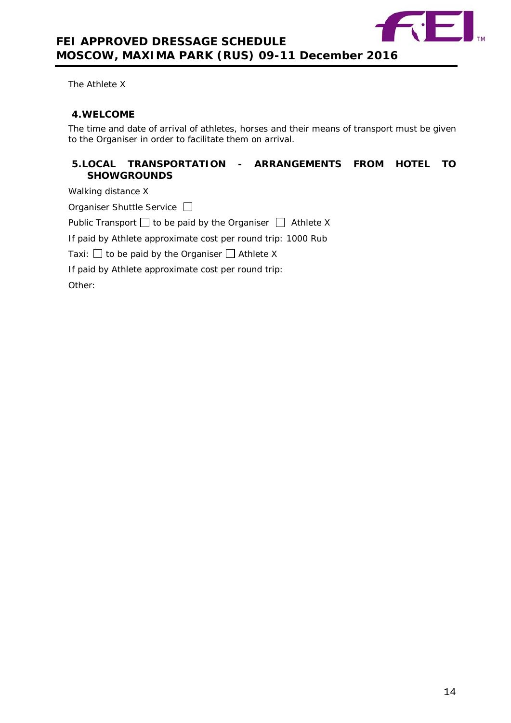

The Athlete X

#### <span id="page-13-0"></span>**4.WELCOME**

The time and date of arrival of athletes, horses and their means of transport must be given to the Organiser in order to facilitate them on arrival.

## <span id="page-13-1"></span>**5.LOCAL TRANSPORTATION - ARRANGEMENTS FROM HOTEL TO SHOWGROUNDS**

Walking distance X

Organiser Shuttle Service

Public Transport  $\Box$  to be paid by the Organiser  $\Box$  Athlete X

| If paid by Athlete approximate cost per round trip: 1000 Rub |  |  |  |  |  |  |  |  |
|--------------------------------------------------------------|--|--|--|--|--|--|--|--|
|--------------------------------------------------------------|--|--|--|--|--|--|--|--|

Taxi:  $\Box$  to be paid by the Organiser  $\Box$  Athlete X

If paid by Athlete approximate cost per round trip:

Other: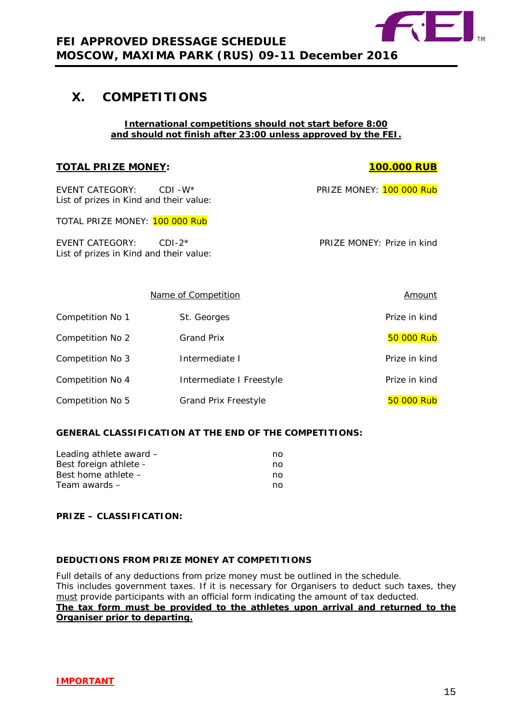

# <span id="page-14-0"></span>**X. COMPETITIONS**

#### **International competitions should not start before 8:00 and should not finish after 23:00 unless approved by the FEI.**

#### **TOTAL PRIZE MONEY: 100.000 RUB**

EVENT CATEGORY: CDI -W\* PRIZE MONEY: 100 000 Rub List of prizes in Kind and their value:

TOTAL PRIZE MONEY: 100 000 Rub

EVENT CATEGORY: CDI-2\* PRIZE MONEY: Prize in kind List of prizes in Kind and their value:

|                  | Name of Competition         | Amount        |
|------------------|-----------------------------|---------------|
| Competition No 1 | St. Georges                 | Prize in kind |
| Competition No 2 | <b>Grand Prix</b>           | 50 000 Rub    |
| Competition No 3 | Intermediate I              | Prize in kind |
| Competition No 4 | Intermediate I Freestyle    | Prize in kind |
| Competition No 5 | <b>Grand Prix Freestyle</b> | 50 000 Rub    |

### **GENERAL CLASSIFICATION AT THE END OF THE COMPETITIONS:**

| Leading athlete award - | no |
|-------------------------|----|
| Best foreign athlete -  | no |
| Best home athlete $-$   | no |
| Team awards –           | no |

### **PRIZE – CLASSIFICATION:**

#### **DEDUCTIONS FROM PRIZE MONEY AT COMPETITIONS**

Full details of any deductions from prize money must be outlined in the schedule. This includes government taxes. If it is necessary for Organisers to deduct such taxes, they must provide participants with an official form indicating the amount of tax deducted. **The tax form must be provided to the athletes upon arrival and returned to the Organiser prior to departing.**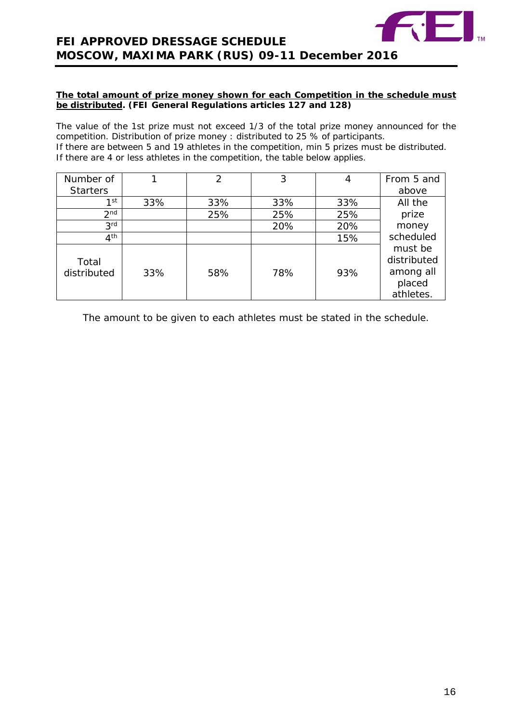

#### **The total amount of prize money shown for each Competition in the schedule must be distributed. (FEI General Regulations articles 127 and 128)**

The value of the 1st prize must not exceed 1/3 of the total prize money announced for the competition. Distribution of prize money : distributed to 25 % of participants. If there are between 5 and 19 athletes in the competition, min 5 prizes must be distributed. If there are 4 or less athletes in the competition, the table below applies.

| Number of            |     | $\overline{2}$ | 3   | 4   | From 5 and                                                 |
|----------------------|-----|----------------|-----|-----|------------------------------------------------------------|
| <b>Starters</b>      |     |                |     |     | above                                                      |
| 1st                  | 33% | 33%            | 33% | 33% | All the                                                    |
| 2 <sub>nd</sub>      |     | 25%            | 25% | 25% | prize                                                      |
| 3 <sup>rd</sup>      |     |                | 20% | 20% | money                                                      |
| 4 <sup>th</sup>      |     |                |     | 15% | scheduled                                                  |
| Total<br>distributed | 33% | 58%            | 78% | 93% | must be<br>distributed<br>among all<br>placed<br>athletes. |

The amount to be given to each athletes must be stated in the schedule.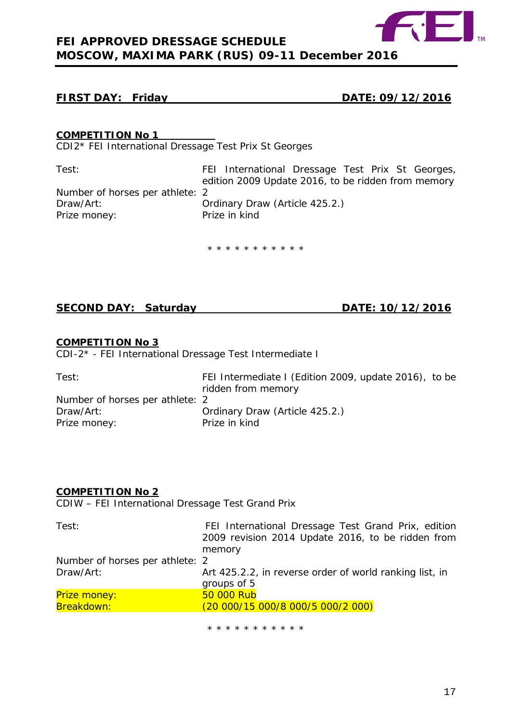

# **FIRST DAY: Friday DATE: 09/12/2016**

## **COMPETITION No 1**

CDI2\* FEI International Dressage Test Prix St Georges

Test: FEI International Dressage Test Prix St Georges, edition 2009 Update 2016, to be ridden from memory Number of horses per athlete: 2<br>Draw/Art: 0 Ordinary Draw (Article 425.2.)<br>Prize in kind Prize money:

\* \* \* \* \* \* \* \* \* \* \*

# **SECOND DAY: Saturday DATE: 10/12/2016**

### **COMPETITION No 3**

CDI-2\* - FEI International Dressage Test Intermediate I

| Test:                           | FEI Intermediate I (Edition 2009, update 2016), to be<br>ridden from memory |  |
|---------------------------------|-----------------------------------------------------------------------------|--|
| Number of horses per athlete: 2 |                                                                             |  |
| Draw/Art:                       | Ordinary Draw (Article 425.2.)                                              |  |
| Prize money:                    | Prize in kind                                                               |  |

### **COMPETITION No 2**

CDIW – FEI International Dressage Test Grand Prix

| Test:                           | FEI International Dressage Test Grand Prix, edition     |
|---------------------------------|---------------------------------------------------------|
|                                 | 2009 revision 2014 Update 2016, to be ridden from       |
|                                 | memory                                                  |
| Number of horses per athlete: 2 |                                                         |
| Draw/Art:                       | Art 425.2.2, in reverse order of world ranking list, in |
|                                 | groups of 5                                             |
| Prize money:                    | 50 000 Rub                                              |
| Breakdown:                      | (20 000/15 000/8 000/5 000/2 000)                       |
|                                 |                                                         |

\* \* \* \* \* \* \* \* \* \* \*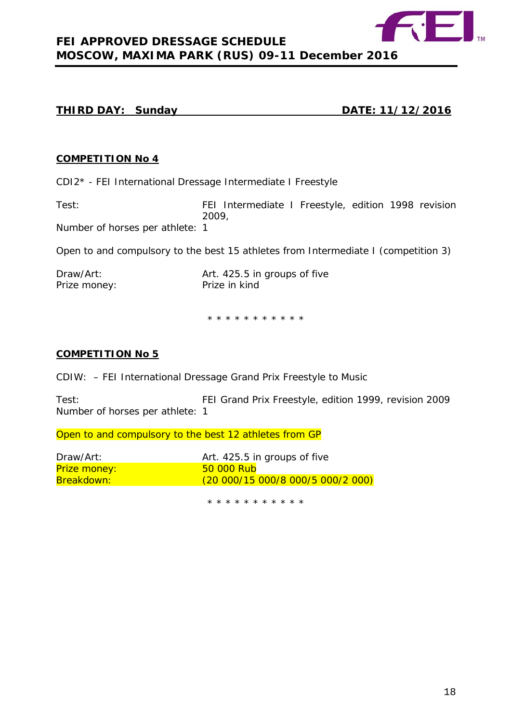

## **THIRD DAY: Sunday DATE: 11/12/2016**

### **COMPETITION No 4**

CDI2\* - FEI International Dressage Intermediate I Freestyle

Test: FEI Intermediate I Freestyle, edition 1998 revision 2009,

Number of horses per athlete: 1

Open to and compulsory to the best 15 athletes from Intermediate I (competition 3)

| Draw/Art:    | Art. 425.5 in groups of five |
|--------------|------------------------------|
| Prize money: | Prize in kind                |

\* \* \* \* \* \* \* \* \* \* \*

### **COMPETITION No 5**

CDIW: – FEI International Dressage Grand Prix Freestyle to Music

Test: FEI Grand Prix Freestyle, edition 1999, revision 2009 Number of horses per athlete: 1

Open to and compulsory to the best 12 athletes from GP

| Draw/Art:           | Art. 425.5 in groups of five      |
|---------------------|-----------------------------------|
| <b>Prize money:</b> | <b>50 000 Rub</b>                 |
| Breakdown:          | (20 000/15 000/8 000/5 000/2 000) |

\* \* \* \* \* \* \* \* \* \* \*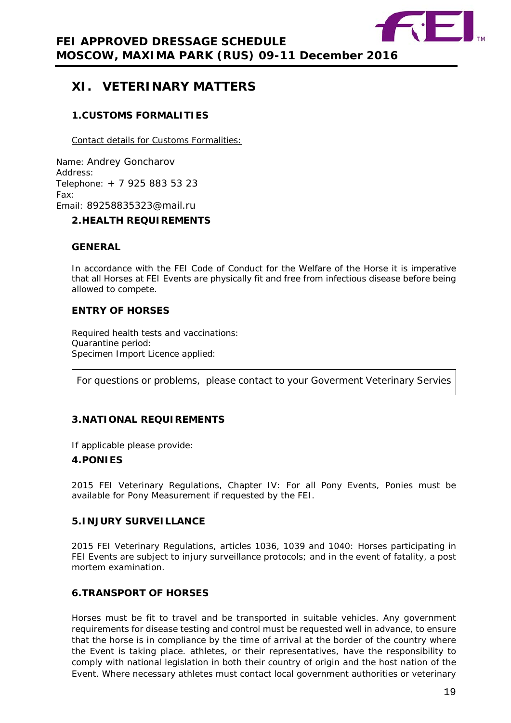

# <span id="page-18-0"></span>**XI. VETERINARY MATTERS**

# <span id="page-18-1"></span>**1.CUSTOMS FORMALITIES**

Contact details for Customs Formalities:

Name: Andrey Goncharov Address: Telephone: + 7 925 883 53 23 Fax: Email: 89258835323@mail.ru

# <span id="page-18-2"></span>**2.HEALTH REQUIREMENTS**

## **GENERAL**

In accordance with the FEI Code of Conduct for the Welfare of the Horse it is imperative that all Horses at FEI Events are physically fit and free from infectious disease before being allowed to compete.

## **ENTRY OF HORSES**

Required health tests and vaccinations: Quarantine period: Specimen Import Licence applied:

For questions or problems, please contact to your Goverment Veterinary Servies

# <span id="page-18-3"></span>**3.NATIONAL REQUIREMENTS**

If applicable please provide:

### <span id="page-18-4"></span>**4.PONIES**

2015 FEI Veterinary Regulations, Chapter IV: For all Pony Events, Ponies must be available for Pony Measurement if requested by the FEI.

### <span id="page-18-5"></span>**5.INJURY SURVEILLANCE**

2015 FEI Veterinary Regulations, articles 1036, 1039 and 1040: Horses participating in FEI Events are subject to injury surveillance protocols; and in the event of fatality, a post mortem examination.

# <span id="page-18-6"></span>**6.TRANSPORT OF HORSES**

Horses must be fit to travel and be transported in suitable vehicles. Any government requirements for disease testing and control must be requested well in advance, to ensure that the horse is in compliance by the time of arrival at the border of the country where the Event is taking place. athletes, or their representatives, have the responsibility to comply with national legislation in both their country of origin and the host nation of the Event. Where necessary athletes must contact local government authorities or veterinary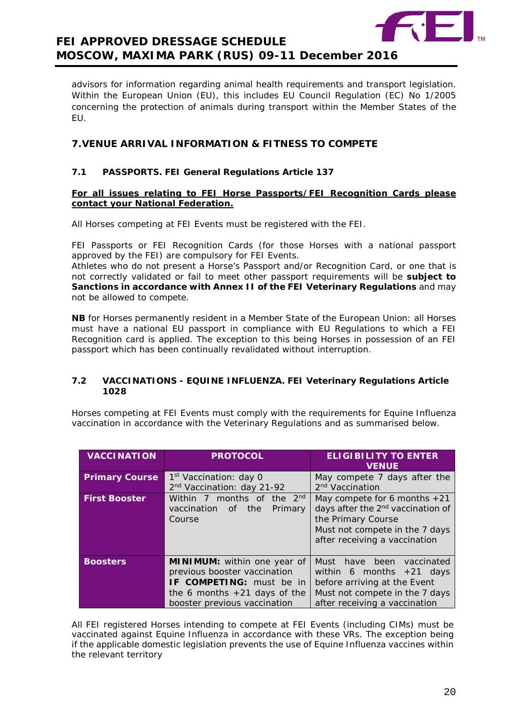

advisors for information regarding animal health requirements and transport legislation. Within the European Union (EU), this includes EU Council Regulation (EC) No 1/2005 concerning the protection of animals during transport within the Member States of the EU.

# <span id="page-19-0"></span>**7.VENUE ARRIVAL INFORMATION & FITNESS TO COMPETE**

#### **7.1 PASSPORTS. FEI General Regulations Article 137**

#### **For all issues relating to FEI Horse Passports/FEI Recognition Cards please contact your National Federation.**

All Horses competing at FEI Events must be registered with the FEI.

FEI Passports or FEI Recognition Cards (for those Horses with a national passport approved by the FEI) are compulsory for FEI Events.

Athletes who do not present a Horse's Passport and/or Recognition Card, or one that is not correctly validated or fail to meet other passport requirements will be **subject to Sanctions in accordance with Annex II of the FEI Veterinary Regulations** and may not be allowed to compete.

**NB** for Horses permanently resident in a Member State of the European Union: all Horses must have a national EU passport in compliance with EU Regulations to which a FEI Recognition card is applied. The exception to this being Horses in possession of an FEI passport which has been continually revalidated without interruption.

#### **7.2 VACCINATIONS - EQUINE INFLUENZA. FEI Veterinary Regulations Article 1028**

Horses competing at FEI Events must comply with the requirements for Equine Influenza vaccination in accordance with the Veterinary Regulations and as summarised below.

| <b>VACCINATION</b>    | <b>PROTOCOL</b>                                                                                                                                                  | <b>ELIGIBILITY TO ENTER</b><br><b>VENUE</b>                                                                                                                              |
|-----------------------|------------------------------------------------------------------------------------------------------------------------------------------------------------------|--------------------------------------------------------------------------------------------------------------------------------------------------------------------------|
| <b>Primary Course</b> | 1 <sup>st</sup> Vaccination: day 0<br>2 <sup>nd</sup> Vaccination: day 21-92                                                                                     | May compete 7 days after the<br>2 <sup>nd</sup> Vaccination                                                                                                              |
| <b>First Booster</b>  | Within 7 months of the 2 <sup>nd</sup><br>vaccination<br>the<br>Primary<br>of<br>Course                                                                          | May compete for 6 months $+21$<br>days after the 2 <sup>nd</sup> vaccination of<br>the Primary Course<br>Must not compete in the 7 days<br>after receiving a vaccination |
| <b>Boosters</b>       | <b>MINIMUM:</b> within one year of<br>previous booster vaccination<br>IF COMPETING: must be in<br>the 6 months $+21$ days of the<br>booster previous vaccination | Must have been<br>vaccinated<br>within 6 months $+21$ days<br>before arriving at the Event<br>Must not compete in the 7 days<br>after receiving a vaccination            |

All FEI registered Horses intending to compete at FEI Events (including CIMs) must be vaccinated against Equine Influenza in accordance with these VRs. The exception being if the applicable domestic legislation prevents the use of Equine Influenza vaccines within the relevant territory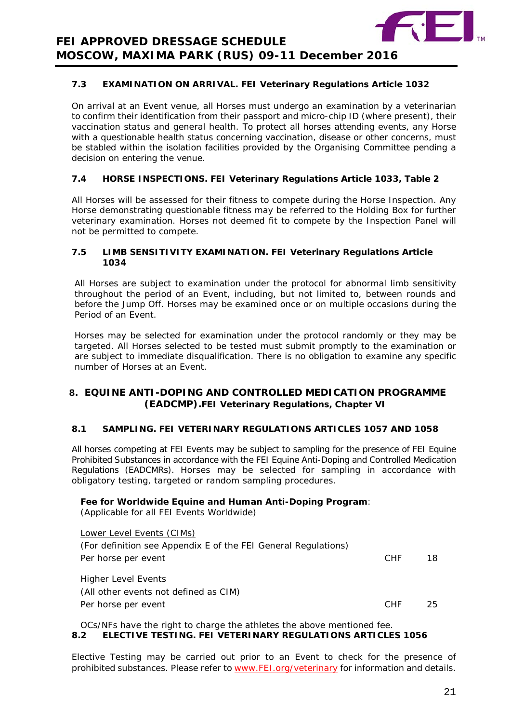

## **7.3 EXAMINATION ON ARRIVAL. FEI Veterinary Regulations Article 1032**

On arrival at an Event venue, all Horses must undergo an examination by a veterinarian to confirm their identification from their passport and micro-chip ID (where present), their vaccination status and general health. To protect all horses attending events, any Horse with a questionable health status concerning vaccination, disease or other concerns, must be stabled within the isolation facilities provided by the Organising Committee pending a decision on entering the venue.

## **7.4 HORSE INSPECTIONS. FEI Veterinary Regulations Article 1033, Table 2**

All Horses will be assessed for their fitness to compete during the Horse Inspection. Any Horse demonstrating questionable fitness may be referred to the Holding Box for further veterinary examination. Horses not deemed fit to compete by the Inspection Panel will not be permitted to compete.

#### **7.5 LIMB SENSITIVITY EXAMINATION. FEI Veterinary Regulations Article 1034**

All Horses are subject to examination under the protocol for abnormal limb sensitivity throughout the period of an Event, including, but not limited to, between rounds and before the Jump Off. Horses may be examined once or on multiple occasions during the Period of an Event.

Horses may be selected for examination under the protocol randomly or they may be targeted. All Horses selected to be tested must submit promptly to the examination or are subject to immediate disqualification. There is no obligation to examine any specific number of Horses at an Event.

## <span id="page-20-0"></span>**8. EQUINE ANTI-DOPING AND CONTROLLED MEDICATION PROGRAMME (EADCMP).FEI Veterinary Regulations, Chapter VI**

### **8.1 SAMPLING. FEI VETERINARY REGULATIONS ARTICLES 1057 AND 1058**

All horses competing at FEI Events may be subject to sampling for the presence of FEI Equine Prohibited Substances in accordance with the FEI Equine Anti-Doping and Controlled Medication Regulations (EADCMRs). Horses may be selected for sampling in accordance with obligatory testing, targeted or random sampling procedures.

### **Fee for Worldwide Equine and Human Anti-Doping Program**:

(Applicable for all FEI Events Worldwide)

| <b>Lower Level Events (CIMs)</b>                               |            |    |
|----------------------------------------------------------------|------------|----|
| (For definition see Appendix E of the FEI General Regulations) |            |    |
| Per horse per event                                            | CHE        | 18 |
|                                                                |            |    |
| <b>Higher Level Events</b>                                     |            |    |
| (All other events not defined as CIM)                          |            |    |
| Per horse per event                                            | <b>CHF</b> | 25 |
|                                                                |            |    |

OCs/NFs have the right to charge the athletes the above mentioned fee. **8.2 ELECTIVE TESTING. FEI VETERINARY REGULATIONS ARTICLES 1056**

Elective Testing may be carried out prior to an Event to check for the presence of prohibited substances. Please refer to [www.FEI.org/veterinary](http://www.fei.org/veterinary) for information and details.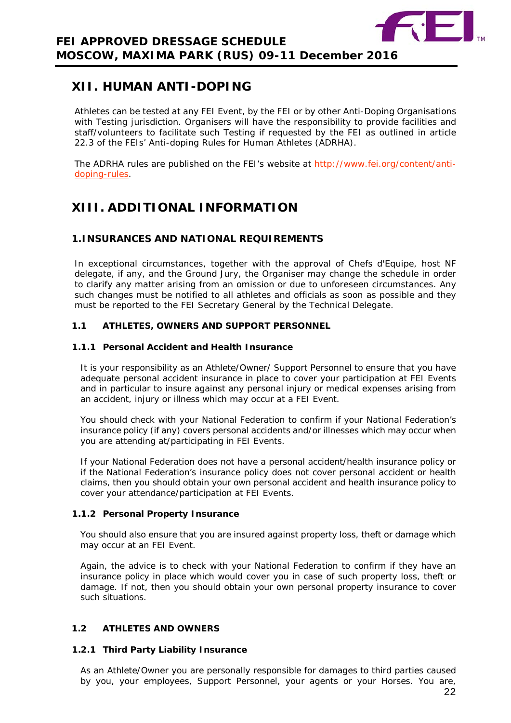

# <span id="page-21-0"></span>**XII. HUMAN ANTI-DOPING**

Athletes can be tested at any FEI Event, by the FEI or by other Anti-Doping Organisations with Testing jurisdiction. Organisers will have the responsibility to provide facilities and staff/volunteers to facilitate such Testing if requested by the FEI as outlined in article 22.3 of the FEIs' Anti-doping Rules for Human Athletes (ADRHA).

The ADRHA rules are published on the FEI's website at [http://www.fei.org/content/anti](http://www.fei.org/content/anti-doping-rules)[doping-rules.](http://www.fei.org/content/anti-doping-rules)

# <span id="page-21-1"></span>**XIII. ADDITIONAL INFORMATION**

# <span id="page-21-2"></span>**1.INSURANCES AND NATIONAL REQUIREMENTS**

In exceptional circumstances, together with the approval of Chefs d'Equipe, host NF delegate, if any, and the Ground Jury, the Organiser may change the schedule in order to clarify any matter arising from an omission or due to unforeseen circumstances. Any such changes must be notified to all athletes and officials as soon as possible and they must be reported to the FEI Secretary General by the Technical Delegate.

## **1.1 ATHLETES, OWNERS AND SUPPORT PERSONNEL**

#### **1.1.1 Personal Accident and Health Insurance**

It is your responsibility as an Athlete/Owner/ Support Personnel to ensure that you have adequate personal accident insurance in place to cover your participation at FEI Events and in particular to insure against any personal injury or medical expenses arising from an accident, injury or illness which may occur at a FEI Event.

You should check with your National Federation to confirm if your National Federation's insurance policy (if any) covers personal accidents and/or illnesses which may occur when you are attending at/participating in FEI Events.

If your National Federation does not have a personal accident/health insurance policy or if the National Federation's insurance policy does not cover personal accident or health claims, then you should obtain your own personal accident and health insurance policy to cover your attendance/participation at FEI Events.

#### **1.1.2 Personal Property Insurance**

You should also ensure that you are insured against property loss, theft or damage which may occur at an FEI Event.

Again, the advice is to check with your National Federation to confirm if they have an insurance policy in place which would cover you in case of such property loss, theft or damage. If not, then you should obtain your own personal property insurance to cover such situations.

### **1.2 ATHLETES AND OWNERS**

### **1.2.1 Third Party Liability Insurance**

As an Athlete/Owner you are personally responsible for damages to third parties caused by you, your employees, Support Personnel, your agents or your Horses. You are,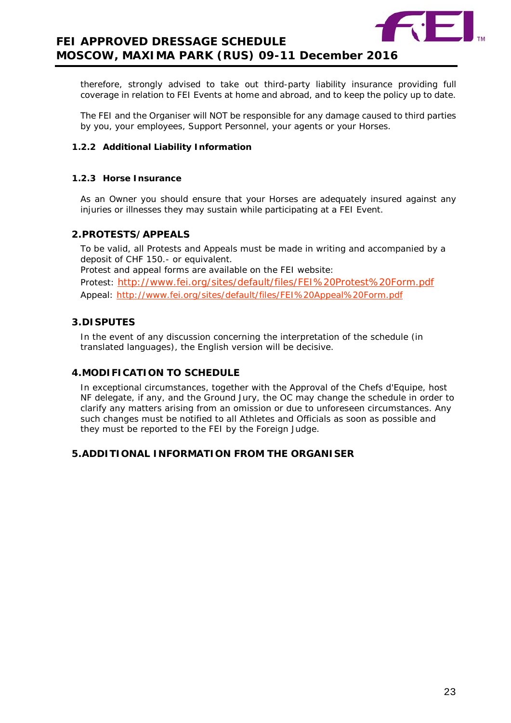

therefore, strongly advised to take out third-party liability insurance providing full coverage in relation to FEI Events at home and abroad, and to keep the policy up to date.

The FEI and the Organiser will NOT be responsible for any damage caused to third parties by you, your employees, Support Personnel, your agents or your Horses.

#### **1.2.2 Additional Liability Information**

#### **1.2.3 Horse Insurance**

As an Owner you should ensure that your Horses are adequately insured against any injuries or illnesses they may sustain while participating at a FEI Event.

#### <span id="page-22-0"></span>**2.PROTESTS/APPEALS**

To be valid, all Protests and Appeals must be made in writing and accompanied by a deposit of CHF 150.- or equivalent. Protest and appeal forms are available on the FEI website: Protest: <http://www.fei.org/sites/default/files/FEI%20Protest%20Form.pdf> Appeal:<http://www.fei.org/sites/default/files/FEI%20Appeal%20Form.pdf>

#### <span id="page-22-1"></span>**3.DISPUTES**

In the event of any discussion concerning the interpretation of the schedule (in translated languages), the English version will be decisive.

#### <span id="page-22-2"></span>**4.MODIFICATION TO SCHEDULE**

In exceptional circumstances, together with the Approval of the Chefs d'Equipe, host NF delegate, if any, and the Ground Jury, the OC may change the schedule in order to clarify any matters arising from an omission or due to unforeseen circumstances. Any such changes must be notified to all Athletes and Officials as soon as possible and they must be reported to the FEI by the Foreign Judge.

## <span id="page-22-4"></span><span id="page-22-3"></span>**5.ADDITIONAL INFORMATION FROM THE ORGANISER**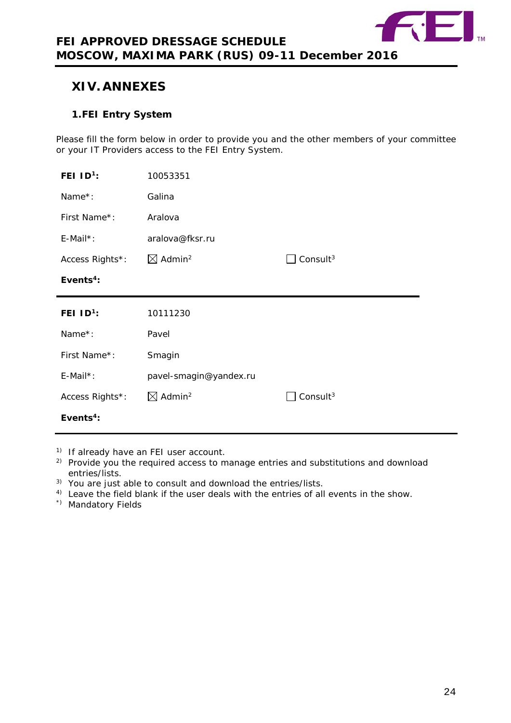

# **XIV. ANNEXES**

# <span id="page-23-0"></span>**1.FEI Entry System**

Please fill the form below in order to provide you and the other members of your committee or your IT Providers access to the FEI Entry System.

| FEI $ID^1$ :    | 10053351                       |                      |
|-----------------|--------------------------------|----------------------|
| Name*:          | Galina                         |                      |
| First Name*:    | Aralova                        |                      |
| $E$ -Mail*:     | aralova@fksr.ru                |                      |
| Access Rights*: | $\boxtimes$ Admin <sup>2</sup> | Consult <sup>3</sup> |
| Events $4$ :    |                                |                      |
|                 |                                |                      |
| FEI $ID1$ :     | 10111230                       |                      |
| Name*:          | Pavel                          |                      |
| First Name*:    | Smagin                         |                      |
| $E$ -Mail*:     | pavel-smagin@yandex.ru         |                      |
| Access Rights*: | $\boxtimes$ Admin <sup>2</sup> | Consult $3$          |

1) If already have an FEI user account.

- <sup>2)</sup> Provide you the required access to manage entries and substitutions and download entries/lists.
- 3) You are just able to consult and download the entries/lists.
- <sup>4)</sup> Leave the field blank if the user deals with the entries of all events in the show.
- \*) Mandatory Fields